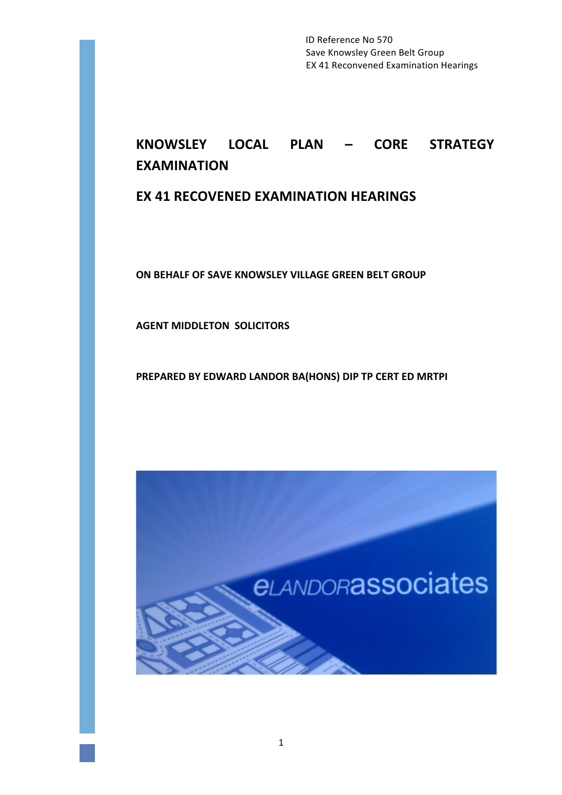ID Reference No 570 Save Knowsley Green Belt Group EX 41 Reconvened Examination Hearings

# **KNOWSLEY LOCAL PLAN – CORE STRATEGY EXAMINATION**

# **EX 41 RECOVENED EXAMINATION HEARINGS**

**ON BEHALF OF SAVE KNOWSLEY VILLAGE GREEN BELT GROUP** 

**AGENT MIDDLETON SOLICITORS** 

PREPARED BY EDWARD LANDOR BA(HONS) DIP TP CERT ED MRTPI

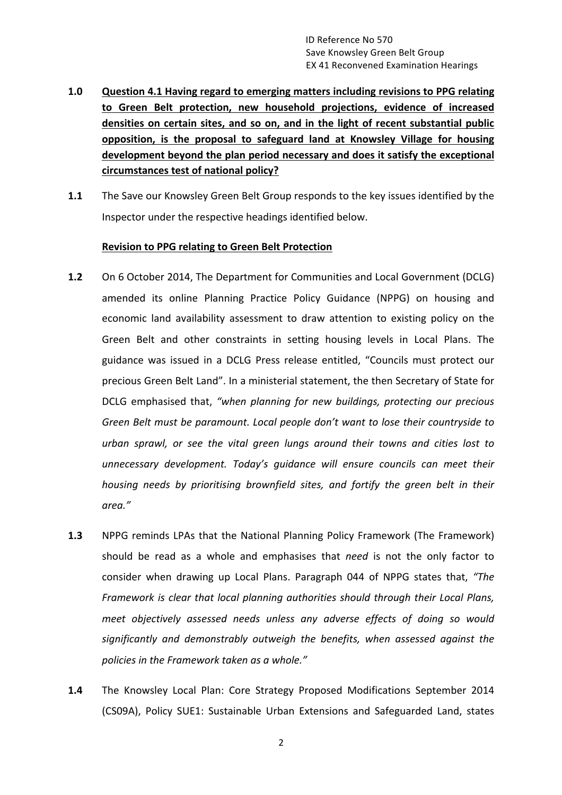- 1.0 Question 4.1 Having regard to emerging matters including revisions to PPG relating to Green Belt protection, new household projections, evidence of increased densities on certain sites, and so on, and in the light of recent substantial public opposition, is the proposal to safeguard land at Knowsley Village for housing development beyond the plan period necessary and does it satisfy the exceptional **circumstances test of national policy?**
- **1.1** The Save our Knowsley Green Belt Group responds to the key issues identified by the Inspector under the respective headings identified below.

# **Revision to PPG relating to Green Belt Protection**

- **1.2** On 6 October 2014, The Department for Communities and Local Government (DCLG) amended its online Planning Practice Policy Guidance (NPPG) on housing and economic land availability assessment to draw attention to existing policy on the Green Belt and other constraints in setting housing levels in Local Plans. The guidance was issued in a DCLG Press release entitled, "Councils must protect our precious Green Belt Land". In a ministerial statement, the then Secretary of State for DCLG emphasised that, "when planning for new buildings, protecting our precious Green Belt must be paramount. Local people don't want to lose their countryside to *urban sprawl, or see the vital green lungs around their towns and cities lost to unnecessary development.* Today's quidance will ensure councils can meet their *housing needs by prioritising brownfield sites, and fortify the green belt in their area."*
- **1.3** NPPG reminds LPAs that the National Planning Policy Framework (The Framework) should be read as a whole and emphasises that *need* is not the only factor to consider when drawing up Local Plans. Paragraph 044 of NPPG states that, "The *Framework is clear that local planning authorities should through their Local Plans, meet objectively assessed needs unless any adverse effects of doing so would* significantly and demonstrably outweigh the benefits, when assessed against the policies in the Framework taken as a whole."
- **1.4** The Knowsley Local Plan: Core Strategy Proposed Modifications September 2014 (CS09A), Policy SUE1: Sustainable Urban Extensions and Safeguarded Land, states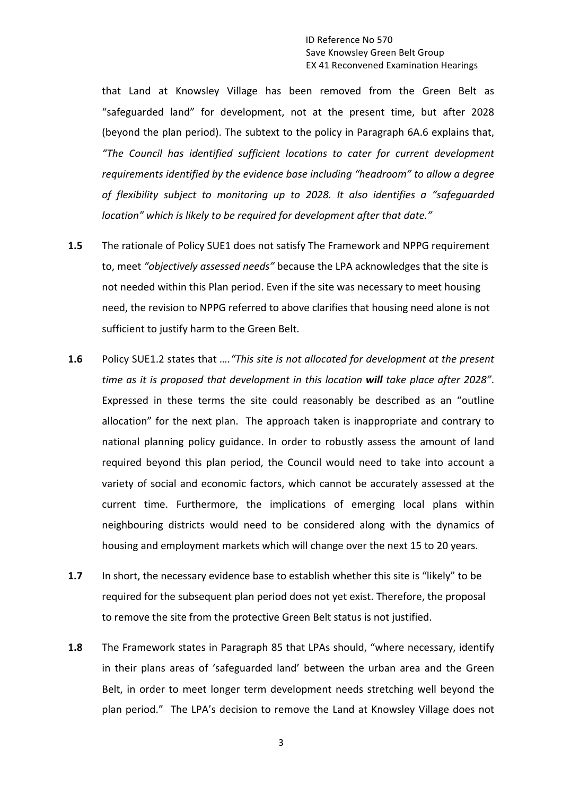that Land at Knowsley Village has been removed from the Green Belt as "safeguarded land" for development, not at the present time, but after 2028 (beyond the plan period). The subtext to the policy in Paragraph 6A.6 explains that, *"The Council has identified sufficient locations to cater for current development requirements identified by the evidence base including "headroom" to allow a degree* of flexibility subject to monitoring up to 2028. It also identifies a "safeguarded *location"* which is likely to be required for development after that date."

- **1.5** The rationale of Policy SUE1 does not satisfy The Framework and NPPG requirement to, meet "objectively assessed needs" because the LPA acknowledges that the site is not needed within this Plan period. Even if the site was necessary to meet housing need, the revision to NPPG referred to above clarifies that housing need alone is not sufficient to justify harm to the Green Belt.
- **1.6** Policy SUE1.2 states that *....* "This site is not allocated for development at the present *time* as it is proposed that development in this location will take place after 2028". Expressed in these terms the site could reasonably be described as an "outline allocation" for the next plan. The approach taken is inappropriate and contrary to national planning policy guidance. In order to robustly assess the amount of land required beyond this plan period, the Council would need to take into account a variety of social and economic factors, which cannot be accurately assessed at the current time. Furthermore, the implications of emerging local plans within neighbouring districts would need to be considered along with the dynamics of housing and employment markets which will change over the next 15 to 20 years.
- **1.7** In short, the necessary evidence base to establish whether this site is "likely" to be required for the subsequent plan period does not yet exist. Therefore, the proposal to remove the site from the protective Green Belt status is not justified.
- **1.8** The Framework states in Paragraph 85 that LPAs should, "where necessary, identify in their plans areas of 'safeguarded land' between the urban area and the Green Belt, in order to meet longer term development needs stretching well beyond the plan period." The LPA's decision to remove the Land at Knowsley Village does not

3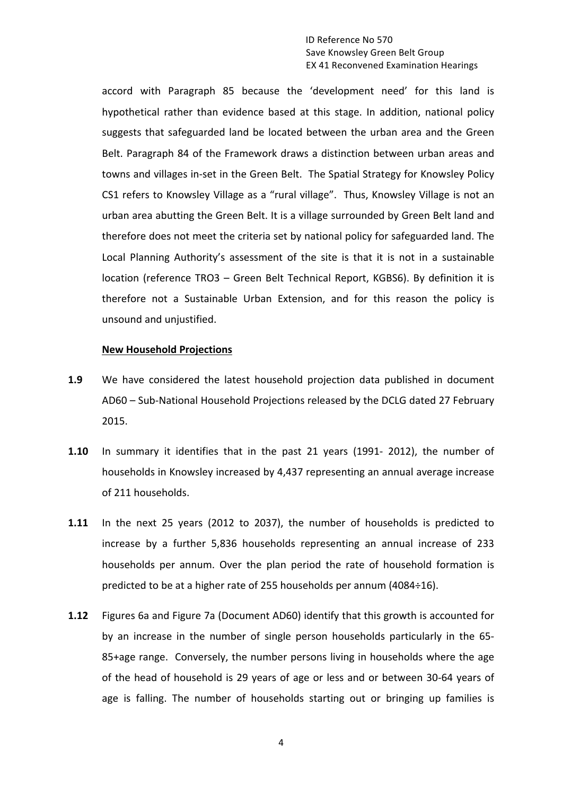#### ID Reference No 570 Save Knowsley Green Belt Group EX 41 Reconvened Examination Hearings

accord with Paragraph 85 because the 'development need' for this land is hypothetical rather than evidence based at this stage. In addition, national policy suggests that safeguarded land be located between the urban area and the Green Belt. Paragraph 84 of the Framework draws a distinction between urban areas and towns and villages in-set in the Green Belt. The Spatial Strategy for Knowsley Policy CS1 refers to Knowsley Village as a "rural village". Thus, Knowsley Village is not an urban area abutting the Green Belt. It is a village surrounded by Green Belt land and therefore does not meet the criteria set by national policy for safeguarded land. The Local Planning Authority's assessment of the site is that it is not in a sustainable location (reference TRO3 – Green Belt Technical Report, KGBS6). By definition it is therefore not a Sustainable Urban Extension, and for this reason the policy is unsound and unjustified.

#### **New Household Projections**

- **1.9** We have considered the latest household projection data published in document AD60 - Sub-National Household Projections released by the DCLG dated 27 February 2015.
- **1.10** In summary it identifies that in the past 21 years (1991- 2012), the number of households in Knowsley increased by 4,437 representing an annual average increase of 211 households.
- **1.11** In the next 25 years (2012 to 2037), the number of households is predicted to increase by a further 5,836 households representing an annual increase of 233 households per annum. Over the plan period the rate of household formation is predicted to be at a higher rate of 255 households per annum (4084÷16).
- **1.12** Figures 6a and Figure 7a (Document AD60) identify that this growth is accounted for by an increase in the number of single person households particularly in the 65-85+age range. Conversely, the number persons living in households where the age of the head of household is 29 years of age or less and or between 30-64 years of age is falling. The number of households starting out or bringing up families is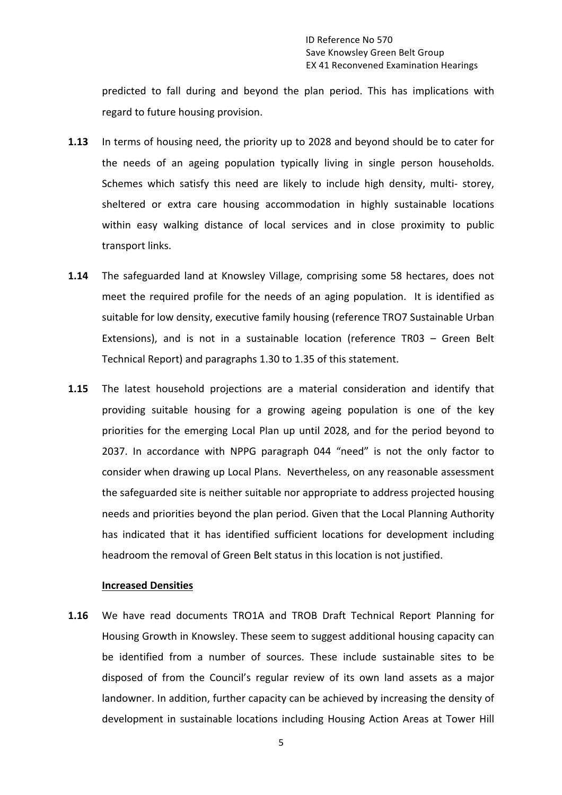predicted to fall during and beyond the plan period. This has implications with regard to future housing provision.

- **1.13** In terms of housing need, the priority up to 2028 and beyond should be to cater for the needs of an ageing population typically living in single person households. Schemes which satisfy this need are likely to include high density, multi- storey, sheltered or extra care housing accommodation in highly sustainable locations within easy walking distance of local services and in close proximity to public transport links.
- **1.14** The safeguarded land at Knowsley Village, comprising some 58 hectares, does not meet the required profile for the needs of an aging population. It is identified as suitable for low density, executive family housing (reference TRO7 Sustainable Urban Extensions), and is not in a sustainable location (reference  $TR03 - Green$  Belt Technical Report) and paragraphs 1.30 to 1.35 of this statement.
- **1.15** The latest household projections are a material consideration and identify that providing suitable housing for a growing ageing population is one of the key priorities for the emerging Local Plan up until 2028, and for the period beyond to 2037. In accordance with NPPG paragraph 044 "need" is not the only factor to consider when drawing up Local Plans. Nevertheless, on any reasonable assessment the safeguarded site is neither suitable nor appropriate to address projected housing needs and priorities beyond the plan period. Given that the Local Planning Authority has indicated that it has identified sufficient locations for development including headroom the removal of Green Belt status in this location is not justified.

#### **Increased Densities**

**1.16** We have read documents TRO1A and TROB Draft Technical Report Planning for Housing Growth in Knowsley. These seem to suggest additional housing capacity can be identified from a number of sources. These include sustainable sites to be disposed of from the Council's regular review of its own land assets as a major landowner. In addition, further capacity can be achieved by increasing the density of development in sustainable locations including Housing Action Areas at Tower Hill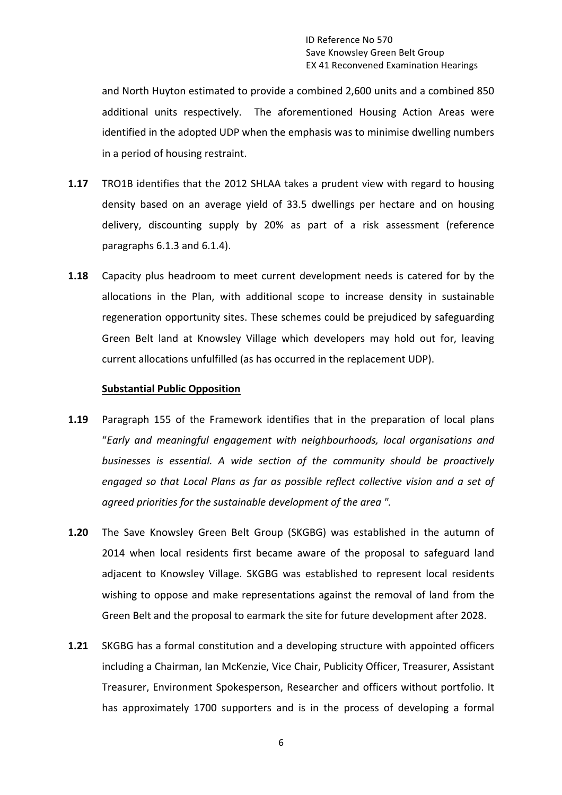and North Huyton estimated to provide a combined 2,600 units and a combined 850 additional units respectively. The aforementioned Housing Action Areas were identified in the adopted UDP when the emphasis was to minimise dwelling numbers in a period of housing restraint.

- **1.17** TRO1B identifies that the 2012 SHLAA takes a prudent view with regard to housing density based on an average yield of 33.5 dwellings per hectare and on housing delivery, discounting supply by 20% as part of a risk assessment (reference paragraphs  $6.1.3$  and  $6.1.4$ ).
- **1.18** Capacity plus headroom to meet current development needs is catered for by the allocations in the Plan, with additional scope to increase density in sustainable regeneration opportunity sites. These schemes could be prejudiced by safeguarding Green Belt land at Knowsley Village which developers may hold out for, leaving current allocations unfulfilled (as has occurred in the replacement UDP).

#### **Substantial Public Opposition**

- **1.19** Paragraph 155 of the Framework identifies that in the preparation of local plans "*Early and meaningful engagement with neighbourhoods, local organisations and*  businesses is essential. A wide section of the community should be proactively *engaged* so that Local Plans as far as possible reflect collective vision and a set of *agreed priorities for the sustainable development of the area ".*
- **1.20** The Save Knowsley Green Belt Group (SKGBG) was established in the autumn of 2014 when local residents first became aware of the proposal to safeguard land adjacent to Knowsley Village. SKGBG was established to represent local residents wishing to oppose and make representations against the removal of land from the Green Belt and the proposal to earmark the site for future development after 2028.
- **1.21** SKGBG has a formal constitution and a developing structure with appointed officers including a Chairman, Ian McKenzie, Vice Chair, Publicity Officer, Treasurer, Assistant Treasurer, Environment Spokesperson, Researcher and officers without portfolio. It has approximately 1700 supporters and is in the process of developing a formal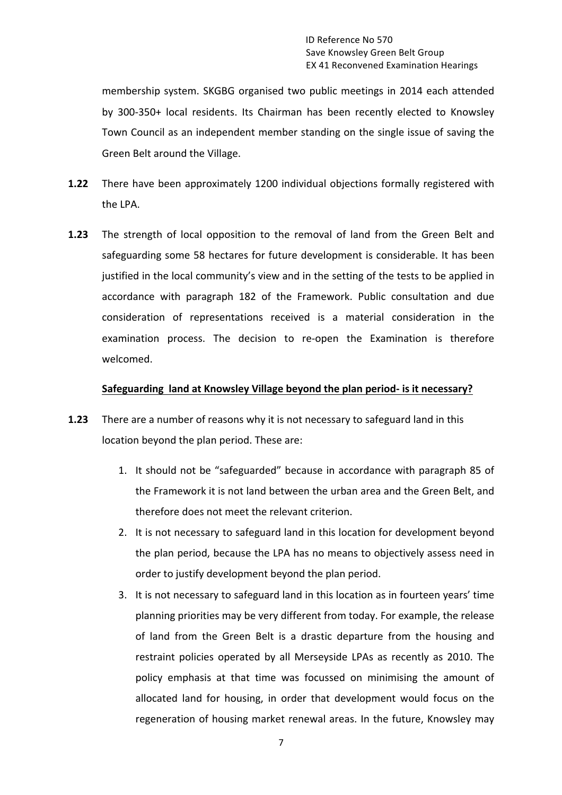membership system. SKGBG organised two public meetings in 2014 each attended by 300-350+ local residents. Its Chairman has been recently elected to Knowsley Town Council as an independent member standing on the single issue of saving the Green Belt around the Village.

- **1.22** There have been approximately 1200 individual objections formally registered with the LPA.
- **1.23** The strength of local opposition to the removal of land from the Green Belt and safeguarding some 58 hectares for future development is considerable. It has been justified in the local community's view and in the setting of the tests to be applied in accordance with paragraph 182 of the Framework. Public consultation and due consideration of representations received is a material consideration in the examination process. The decision to re-open the Examination is therefore welcomed.

# **Safeguarding land at Knowsley Village beyond the plan period- is it necessary?**

- **1.23** There are a number of reasons why it is not necessary to safeguard land in this location beyond the plan period. These are:
	- 1. It should not be "safeguarded" because in accordance with paragraph 85 of the Framework it is not land between the urban area and the Green Belt, and therefore does not meet the relevant criterion.
	- 2. It is not necessary to safeguard land in this location for development beyond the plan period, because the LPA has no means to objectively assess need in order to justify development beyond the plan period.
	- 3. It is not necessary to safeguard land in this location as in fourteen years' time planning priorities may be very different from today. For example, the release of land from the Green Belt is a drastic departure from the housing and restraint policies operated by all Merseyside LPAs as recently as 2010. The policy emphasis at that time was focussed on minimising the amount of allocated land for housing, in order that development would focus on the regeneration of housing market renewal areas. In the future, Knowsley may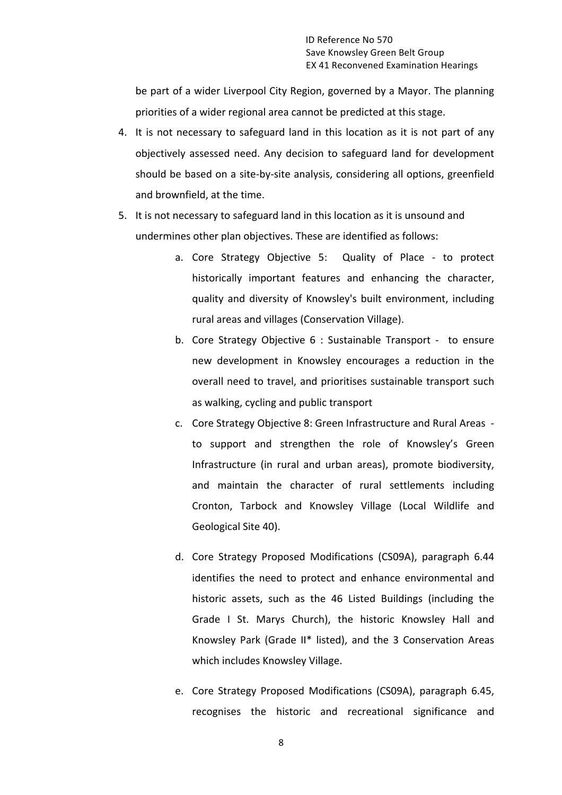be part of a wider Liverpool City Region, governed by a Mayor. The planning priorities of a wider regional area cannot be predicted at this stage.

- 4. It is not necessary to safeguard land in this location as it is not part of any objectively assessed need. Any decision to safeguard land for development should be based on a site-by-site analysis, considering all options, greenfield and brownfield, at the time.
- 5. It is not necessary to safeguard land in this location as it is unsound and undermines other plan objectives. These are identified as follows:
	- a. Core Strategy Objective 5: Quality of Place to protect historically important features and enhancing the character, quality and diversity of Knowsley's built environment, including rural areas and villages (Conservation Village).
	- b. Core Strategy Objective 6 : Sustainable Transport to ensure new development in Knowsley encourages a reduction in the overall need to travel, and prioritises sustainable transport such as walking, cycling and public transport
	- c. Core Strategy Objective 8: Green Infrastructure and Rural Areas to support and strengthen the role of Knowsley's Green Infrastructure (in rural and urban areas), promote biodiversity, and maintain the character of rural settlements including Cronton, Tarbock and Knowsley Village (Local Wildlife and Geological Site 40).
	- d. Core Strategy Proposed Modifications (CS09A), paragraph 6.44 identifies the need to protect and enhance environmental and historic assets, such as the 46 Listed Buildings (including the Grade I St. Marys Church), the historic Knowsley Hall and Knowsley Park (Grade II\* listed), and the 3 Conservation Areas which includes Knowsley Village.
	- e. Core Strategy Proposed Modifications (CS09A), paragraph 6.45, recognises the historic and recreational significance and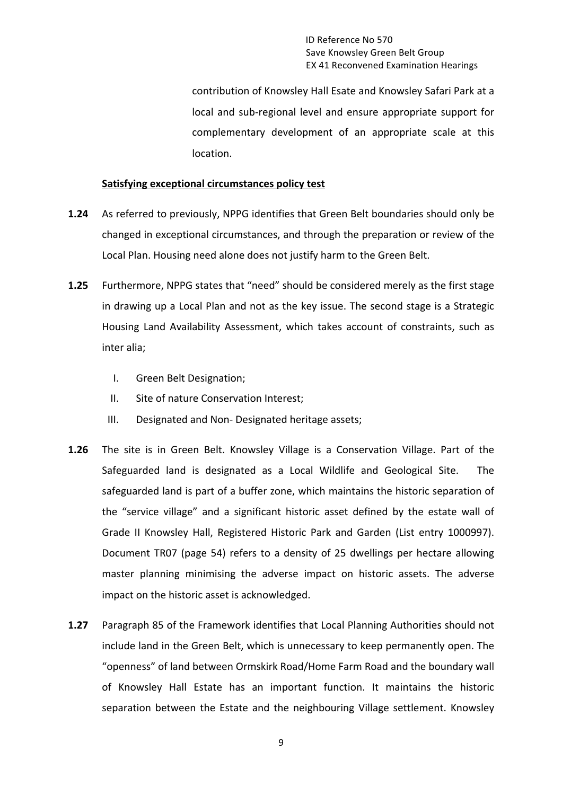ID Reference No 570 Save Knowsley Green Belt Group EX 41 Reconvened Examination Hearings

contribution of Knowsley Hall Esate and Knowsley Safari Park at a local and sub-regional level and ensure appropriate support for complementary development of an appropriate scale at this location.

#### **Satisfying exceptional circumstances policy test**

- **1.24** As referred to previously, NPPG identifies that Green Belt boundaries should only be changed in exceptional circumstances, and through the preparation or review of the Local Plan. Housing need alone does not justify harm to the Green Belt.
- **1.25** Furthermore, NPPG states that "need" should be considered merely as the first stage in drawing up a Local Plan and not as the key issue. The second stage is a Strategic Housing Land Availability Assessment, which takes account of constraints, such as inter alia;
	- I. Green Belt Designation;
	- II. Site of nature Conservation Interest;
	- III. Designated and Non- Designated heritage assets;
- **1.26** The site is in Green Belt. Knowsley Village is a Conservation Village. Part of the Safeguarded land is designated as a Local Wildlife and Geological Site. The safeguarded land is part of a buffer zone, which maintains the historic separation of the "service village" and a significant historic asset defined by the estate wall of Grade II Knowsley Hall, Registered Historic Park and Garden (List entry 1000997). Document TR07 (page 54) refers to a density of 25 dwellings per hectare allowing master planning minimising the adverse impact on historic assets. The adverse impact on the historic asset is acknowledged.
- **1.27** Paragraph 85 of the Framework identifies that Local Planning Authorities should not include land in the Green Belt, which is unnecessary to keep permanently open. The "openness" of land between Ormskirk Road/Home Farm Road and the boundary wall of Knowsley Hall Estate has an important function. It maintains the historic separation between the Estate and the neighbouring Village settlement. Knowsley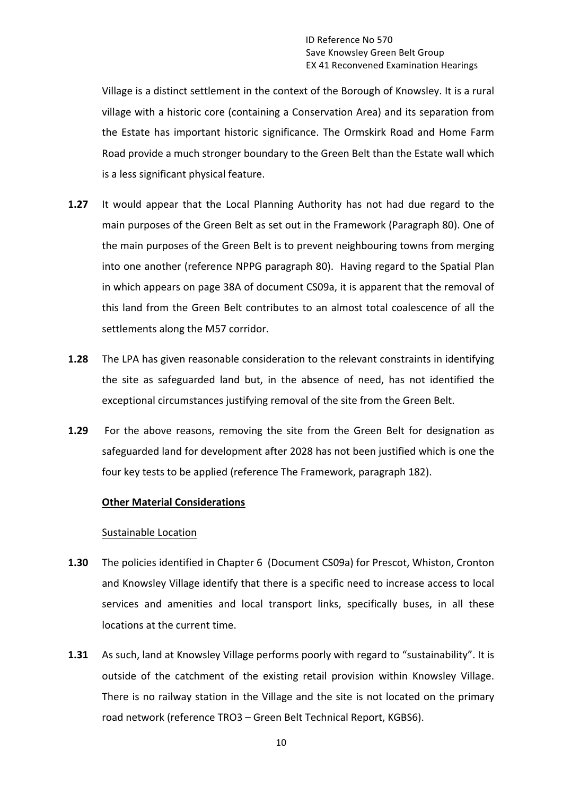Village is a distinct settlement in the context of the Borough of Knowsley. It is a rural village with a historic core (containing a Conservation Area) and its separation from the Estate has important historic significance. The Ormskirk Road and Home Farm Road provide a much stronger boundary to the Green Belt than the Estate wall which is a less significant physical feature.

- **1.27** It would appear that the Local Planning Authority has not had due regard to the main purposes of the Green Belt as set out in the Framework (Paragraph 80). One of the main purposes of the Green Belt is to prevent neighbouring towns from merging into one another (reference NPPG paragraph 80). Having regard to the Spatial Plan in which appears on page 38A of document CS09a, it is apparent that the removal of this land from the Green Belt contributes to an almost total coalescence of all the settlements along the M57 corridor.
- **1.28** The LPA has given reasonable consideration to the relevant constraints in identifying the site as safeguarded land but, in the absence of need, has not identified the exceptional circumstances justifying removal of the site from the Green Belt.
- **1.29** For the above reasons, removing the site from the Green Belt for designation as safeguarded land for development after 2028 has not been justified which is one the four key tests to be applied (reference The Framework, paragraph 182).

# **Other Material Considerations**

#### Sustainable Location

- **1.30** The policies identified in Chapter 6 (Document CS09a) for Prescot, Whiston, Cronton and Knowsley Village identify that there is a specific need to increase access to local services and amenities and local transport links, specifically buses, in all these locations at the current time.
- **1.31** As such, land at Knowsley Village performs poorly with regard to "sustainability". It is outside of the catchment of the existing retail provision within Knowsley Village. There is no railway station in the Village and the site is not located on the primary road network (reference TRO3 - Green Belt Technical Report, KGBS6).